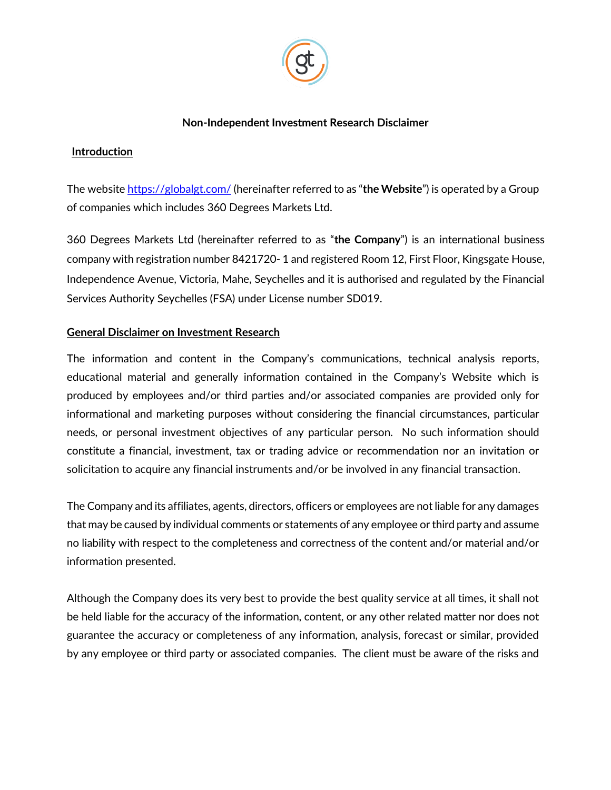

### **Non-Independent Investment Research Disclaimer**

## **Introduction**

The websit[e https://globalgt.com/](https://globalgt.com/) (hereinafter referred to as "**the Website**") is operated by a Group of companies which includes 360 Degrees Markets Ltd.

360 Degrees Markets Ltd (hereinafter referred to as "**the Company**") is an international business company with registration number 8421720- 1 and registered Room 12, First Floor, Kingsgate House, Independence Avenue, Victoria, Mahe, Seychelles and it is authorised and regulated by the Financial Services Authority Seychelles (FSA) under License number SD019.

# **General Disclaimer on Investment Research**

The information and content in the Company's communications, technical analysis reports, educational material and generally information contained in the Company's Website which is produced by employees and/or third parties and/or associated companies are provided only for informational and marketing purposes without considering the financial circumstances, particular needs, or personal investment objectives of any particular person. No such information should constitute a financial, investment, tax or trading advice or recommendation nor an invitation or solicitation to acquire any financial instruments and/or be involved in any financial transaction.

The Company and its affiliates, agents, directors, officers or employees are not liable for any damages that may be caused by individual comments or statements of any employee or third party and assume no liability with respect to the completeness and correctness of the content and/or material and/or information presented.

Although the Company does its very best to provide the best quality service at all times, it shall not be held liable for the accuracy of the information, content, or any other related matter nor does not guarantee the accuracy or completeness of any information, analysis, forecast or similar, provided by any employee or third party or associated companies. The client must be aware of the risks and